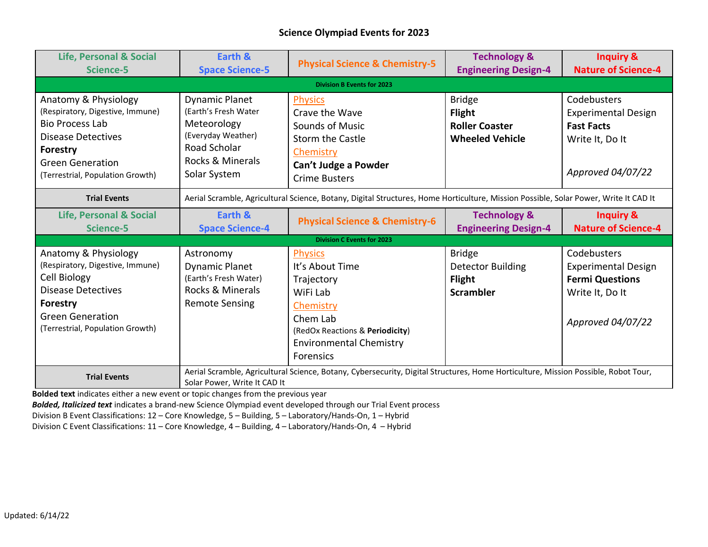## **Science Olympiad Events for 2023**

| <b>Life, Personal &amp; Social</b> | Earth &                                                                                                                              | <b>Physical Science &amp; Chemistry-5</b>                                                                                          | <b>Technology &amp;</b>     | <b>Inquiry &amp;</b>       |
|------------------------------------|--------------------------------------------------------------------------------------------------------------------------------------|------------------------------------------------------------------------------------------------------------------------------------|-----------------------------|----------------------------|
| Science-5                          | <b>Space Science-5</b>                                                                                                               |                                                                                                                                    | <b>Engineering Design-4</b> | <b>Nature of Science-4</b> |
| <b>Division B Events for 2023</b>  |                                                                                                                                      |                                                                                                                                    |                             |                            |
| Anatomy & Physiology               | <b>Dynamic Planet</b>                                                                                                                | <b>Physics</b>                                                                                                                     | <b>Bridge</b>               | Codebusters                |
| (Respiratory, Digestive, Immune)   | (Earth's Fresh Water                                                                                                                 | Crave the Wave                                                                                                                     | <b>Flight</b>               | <b>Experimental Design</b> |
| <b>Bio Process Lab</b>             | Meteorology                                                                                                                          | Sounds of Music                                                                                                                    | <b>Roller Coaster</b>       | <b>Fast Facts</b>          |
| Disease Detectives                 | (Everyday Weather)                                                                                                                   | <b>Storm the Castle</b>                                                                                                            | <b>Wheeled Vehicle</b>      | Write It, Do It            |
| <b>Forestry</b>                    | Road Scholar                                                                                                                         | Chemistry                                                                                                                          |                             |                            |
| <b>Green Generation</b>            | Rocks & Minerals                                                                                                                     | Can't Judge a Powder                                                                                                               |                             |                            |
| (Terrestrial, Population Growth)   | Solar System                                                                                                                         | <b>Crime Busters</b>                                                                                                               |                             | Approved 04/07/22          |
| <b>Trial Events</b>                | Aerial Scramble, Agricultural Science, Botany, Digital Structures, Home Horticulture, Mission Possible, Solar Power, Write It CAD It |                                                                                                                                    |                             |                            |
| <b>Life, Personal &amp; Social</b> | Earth &                                                                                                                              | <b>Physical Science &amp; Chemistry-6</b>                                                                                          | <b>Technology &amp;</b>     | <b>Inquiry &amp;</b>       |
| Science-5                          | <b>Space Science-4</b>                                                                                                               |                                                                                                                                    | <b>Engineering Design-4</b> | <b>Nature of Science-4</b> |
| <b>Division C Events for 2023</b>  |                                                                                                                                      |                                                                                                                                    |                             |                            |
| Anatomy & Physiology               | Astronomy                                                                                                                            | <b>Physics</b>                                                                                                                     | <b>Bridge</b>               | Codebusters                |
| (Respiratory, Digestive, Immune)   | <b>Dynamic Planet</b>                                                                                                                | It's About Time                                                                                                                    | <b>Detector Building</b>    | <b>Experimental Design</b> |
| Cell Biology                       |                                                                                                                                      |                                                                                                                                    |                             |                            |
|                                    | (Earth's Fresh Water)                                                                                                                | Trajectory                                                                                                                         | <b>Flight</b>               | <b>Fermi Questions</b>     |
| <b>Disease Detectives</b>          | Rocks & Minerals                                                                                                                     | WiFi Lab                                                                                                                           | <b>Scrambler</b>            | Write It, Do It            |
| <b>Forestry</b>                    | <b>Remote Sensing</b>                                                                                                                | Chemistry                                                                                                                          |                             |                            |
| <b>Green Generation</b>            |                                                                                                                                      | Chem Lab                                                                                                                           |                             |                            |
| (Terrestrial, Population Growth)   |                                                                                                                                      | (RedOx Reactions & Periodicity)                                                                                                    |                             | Approved 04/07/22          |
|                                    |                                                                                                                                      | <b>Environmental Chemistry</b>                                                                                                     |                             |                            |
|                                    |                                                                                                                                      | Forensics                                                                                                                          |                             |                            |
| <b>Trial Events</b>                |                                                                                                                                      | Aerial Scramble, Agricultural Science, Botany, Cybersecurity, Digital Structures, Home Horticulture, Mission Possible, Robot Tour, |                             |                            |

**Bolded text** indicates either a new event or topic changes from the previous year

*Bolded, Italicized text* indicates a brand-new Science Olympiad event developed through our Trial Event process

Division B Event Classifications: 12 – Core Knowledge, 5 – Building, 5 – Laboratory/Hands-On, 1 – Hybrid

Division C Event Classifications: 11 – Core Knowledge, 4 – Building, 4 – Laboratory/Hands-On, 4 – Hybrid